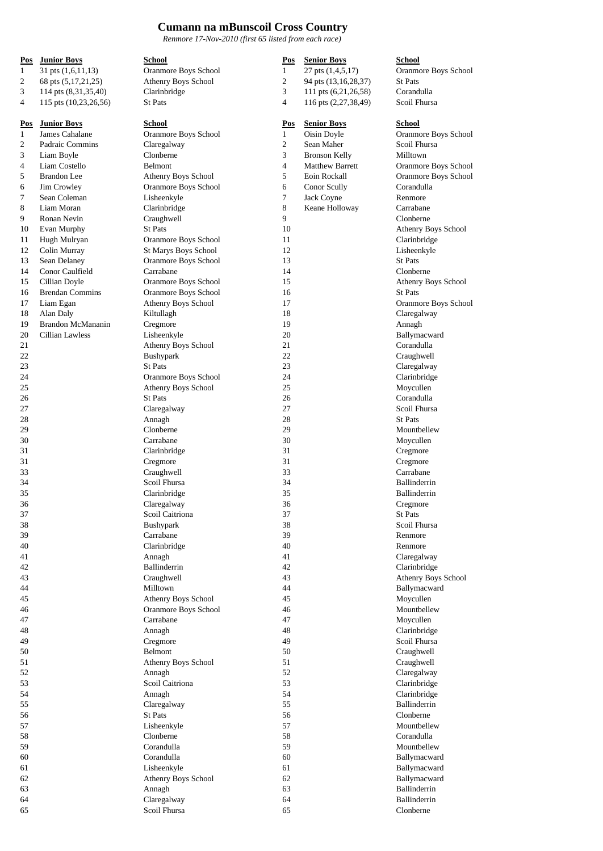## **Cumann na mBunscoil Cross Country**

*Renmore 17-Nov-2010 (first 65 listed from each race)*

| Pos          | <b>Junior Boys</b>       | <b>School</b>        | Pos            | <b>Senior Boys</b>     | <b>School</b>       |
|--------------|--------------------------|----------------------|----------------|------------------------|---------------------|
| 1            | $31$ pts $(1,6,11,13)$   | Oranmore Boys School | 1              | 27 pts (1,4,5,17)      | Oranmore Bo         |
| 2            | 68 pts (5,17,21,25)      | Athenry Boys School  | $\overline{c}$ | 94 pts (13,16,28,37)   | <b>St Pats</b>      |
| 3            | 114 pts (8,31,35,40)     | Clarinbridge         | 3              | 111 pts (6,21,26,58)   | Corandulla          |
| 4            | 115 pts (10,23,26,56)    | St Pats              | $\overline{4}$ | 116 pts (2,27,38,49)   | Scoil Fhursa        |
| Pos          | <b>Junior Boys</b>       | School               | Pos            | <b>Senior Boys</b>     | School              |
| $\mathbf{1}$ | James Cahalane           | Oranmore Boys School | 1              | Oisin Doyle            | Oranmore Bo         |
| 2            | Padraic Commins          | Claregalway          | $\sqrt{2}$     | Sean Maher             | Scoil Fhursa        |
| 3            | Liam Boyle               | Clonberne            | 3              | <b>Bronson Kelly</b>   | Milltown            |
| 4            | Liam Costello            | Belmont              | $\overline{4}$ | <b>Matthew Barrett</b> | Oranmore Bo         |
| 5            | <b>Brandon</b> Lee       | Athenry Boys School  | 5              | Eoin Rockall           | Oranmore Bo         |
| 6            | Jim Crowley              | Oranmore Boys School | 6              | Conor Scully           | Corandulla          |
| 7            | Sean Coleman             | Lisheenkyle          | 7              | Jack Coyne             | Renmore             |
| 8            | Liam Moran               | Clarinbridge         | 8              | Keane Holloway         | Carrabane           |
| 9            | Ronan Nevin              | Craughwell           | 9              |                        | Clonberne           |
| 10           | Evan Murphy              | <b>St Pats</b>       | 10             |                        | Athenry Boy:        |
| 11           | Hugh Mulryan             | Oranmore Boys School | 11             |                        | Clarinbridge        |
| 12           | Colin Murray             | St Marys Boys School | 12             |                        | Lisheenkyle         |
| 13           | Sean Delaney             | Oranmore Boys School | 13             |                        | <b>St Pats</b>      |
| 14           | Conor Caulfield          | Carrabane            | 14             |                        | Clonberne           |
| 15           | Cillian Doyle            | Oranmore Boys School | 15             |                        | Athenry Boy:        |
| 16           | <b>Brendan Commins</b>   | Oranmore Boys School | 16             |                        | <b>St Pats</b>      |
| 17           | Liam Egan                | Athenry Boys School  | 17             |                        | Oranmore Bo         |
| 18           | Alan Daly                | Kiltullagh           | 18             |                        | Claregalway         |
| 19           | <b>Brandon McMananin</b> | Cregmore             | 19             |                        | Annagh              |
| 20           | Cillian Lawless          | Lisheenkyle          | 20             |                        | Ballymacwar         |
| 21           |                          | Athenry Boys School  | 21             |                        | Corandulla          |
| 22           |                          | Bushypark            | 22             |                        | Craughwell          |
| 23           |                          | <b>St Pats</b>       | 23             |                        | Claregalway         |
| 24           |                          | Oranmore Boys School | 24             |                        | Clarinbridge        |
| 25           |                          | Athenry Boys School  | 25             |                        | Moycullen           |
| 26           |                          | <b>St Pats</b>       | 26             |                        | Corandulla          |
| 27           |                          | Claregalway          | 27             |                        | Scoil Fhursa        |
| 28           |                          | Annagh               | 28             |                        | <b>St Pats</b>      |
| 29           |                          | Clonberne            | 29             |                        | Mountbellew         |
| 30           |                          | Carrabane            | 30             |                        | Moycullen           |
| 31           |                          | Clarinbridge         | 31             |                        | Cregmore            |
| 31           |                          | Cregmore             | 31             |                        | Cregmore            |
| 33           |                          | Craughwell           | 33             |                        | Carrabane           |
| 34           |                          | Scoil Fhursa         | 34             |                        | <b>Ballinderrin</b> |
| 35           |                          | Clarinbridge         | 35             |                        | <b>Ballinderrin</b> |
| 36           |                          | Claregalway          | 36             |                        | Cregmore            |
| 37           |                          | Scoil Caitriona      | 37             |                        | St Pats             |
| 38           |                          | Bushypark            | 38             |                        | Scoil Fhursa        |
| 39           |                          | Carrabane            | 39             |                        | Renmore             |
| 40           |                          | Clarinbridge         | 40             |                        | Renmore             |
| 41           |                          | Annagh               | 41             |                        | Claregalway         |
| 42           |                          | Ballinderrin         | 42             |                        | Clarinbridge        |
| 43           |                          | Craughwell           | 43             |                        | Athenry Boy:        |
| 44           |                          | Milltown             | 44             |                        | Ballymacwar         |
| 45           |                          | Athenry Boys School  | 45             |                        | Moycullen           |
| 46           |                          | Oranmore Boys School | 46             |                        | Mountbellew         |
| 47           |                          | Carrabane            | 47             |                        | Moycullen           |
| 48           |                          | Annagh               | 48             |                        | Clarinbridge        |
| 49           |                          | Cregmore             | 49             |                        | Scoil Fhursa        |
| 50           |                          | Belmont              | 50             |                        | Craughwell          |
| 51           |                          | Athenry Boys School  | 51             |                        | Craughwell          |
| 52           |                          | Annagh               | 52             |                        | Claregalway         |
| 53           |                          | Scoil Caitriona      | 53             |                        | Clarinbridge        |
| 54           |                          | Annagh               | 54             |                        | Clarinbridge        |
| 55           |                          | Claregalway          | 55             |                        | Ballinderrin        |
| 56           |                          | St Pats              | 56             |                        | Clonberne           |
| 57           |                          | Lisheenkyle          | 57             |                        | Mountbellew         |
| 58           |                          | Clonberne            | 58             |                        | Corandulla          |
| 59           |                          | Corandulla           | 59             |                        | Mountbellew         |
| 60           |                          | Corandulla           | 60             |                        | Ballymacwar         |
| 61           |                          | Lisheenkyle          | 61             |                        | Ballymacwar         |
| 62           |                          | Athenry Boys School  | 62             |                        | Ballymacwar         |
| 63           |                          | Annagh               | 63             |                        | Ballinderrin        |
| 64           |                          | Claregalway          | 64             |                        | Ballinderrin        |
| 65           |                          | Scoil Fhursa         | 65             |                        | Clonberne           |

 $1,4,5,17$  Oranmore Boys School  $(13,16,28,37)$  St Pats  $3 \times (6,21,26,58)$  Corandulla 115  $(2,27,38,49)$  Scoil Fhursa

1 Doyle **Oranmore Boys School** hew Barrett **Condition Commore Boys School** Rockall **Commore Boys School** Athenry Boys School Clarinbridge Athenry Boys School Oranmore Boys School Claregalway<br>Annagh Ballymacward Claregalway Clarinbridge Claregalway Clarinbridge Athenry Boys School Ballymacward Mountbellew<br>Moycullen Clarinbridge Ballymacward Ballymacward Ballymacward